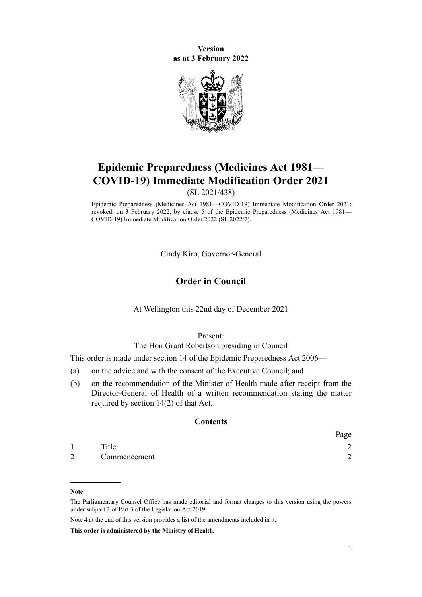**Version as at 3 February 2022**



# **Epidemic Preparedness (Medicines Act 1981— COVID-19) Immediate Modification Order 2021**

(SL 2021/438)

Epidemic Preparedness (Medicines Act 1981—COVID-19) Immediate Modification Order 2021: revoked, on 3 February 2022, by [clause 5](http://legislation.govt.nz/pdflink.aspx?id=LMS638928) of the Epidemic Preparedness (Medicines Act 1981— COVID-19) Immediate Modification Order 2022 (SL 2022/7).

Cindy Kiro, Governor-General

## **Order in Council**

#### At Wellington this 22nd day of December 2021

Present:

The Hon Grant Robertson presiding in Council

This order is made under [section 14](http://legislation.govt.nz/pdflink.aspx?id=DLM404494) of the [Epidemic Preparedness Act 2006](http://legislation.govt.nz/pdflink.aspx?id=DLM404458)—

- (a) on the advice and with the consent of the Executive Council; and
- (b) on the recommendation of the Minister of Health made after receipt from the Director-General of Health of a written recommendation stating the matter required by section 14(2) of that Act.

### **Contents**

|                |              | Page   |
|----------------|--------------|--------|
|                | Title        | $\sim$ |
| $\overline{2}$ | Commencement | ⌒      |

**This order is administered by the Ministry of Health.**

**Note**

The Parliamentary Counsel Office has made editorial and format changes to this version using the powers under [subpart 2](http://legislation.govt.nz/pdflink.aspx?id=DLM7298371) of Part 3 of the Legislation Act 2019.

Note 4 at the end of this version provides a list of the amendments included in it.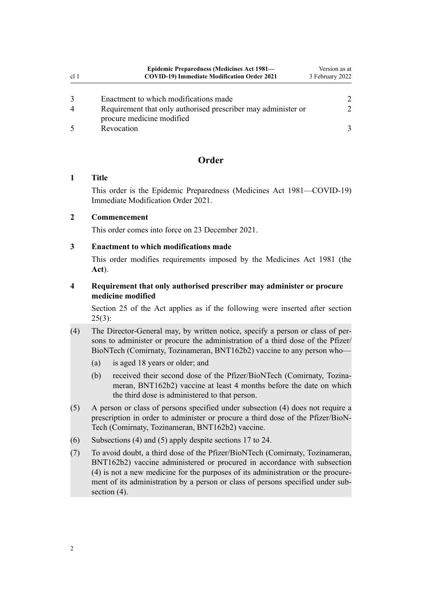<span id="page-1-0"></span>

| cl <sub>1</sub> | Epidemic Preparedness (Medicines Act 1981—<br><b>COVID-19) Immediate Modification Order 2021</b> | Version as at<br>3 February 2022 |
|-----------------|--------------------------------------------------------------------------------------------------|----------------------------------|
| 3               | Enactment to which modifications made                                                            | $\mathcal{P}$                    |
| $\overline{4}$  | Requirement that only authorised prescriber may administer or<br>procure medicine modified       | $\mathcal{P}$                    |
|                 | Revocation                                                                                       |                                  |

# **Order**

### **1 Title**

This order is the Epidemic Preparedness (Medicines Act 1981—COVID-19) Immediate Modification Order 2021.

### **2 Commencement**

This order comes into force on 23 December 2021.

## **3 Enactment to which modifications made**

This order modifies requirements imposed by the [Medicines Act 1981](http://legislation.govt.nz/pdflink.aspx?id=DLM53789) (the **Act**).

## **4 Requirement that only authorised prescriber may administer or procure medicine modified**

[Section 25](http://legislation.govt.nz/pdflink.aspx?id=DLM55417) of the Act applies as if the following were inserted after [section](http://legislation.govt.nz/pdflink.aspx?id=DLM55417)  $25(3)$ :

- (4) The Director-General may, by written notice, specify a person or class of per‐ sons to administer or procure the administration of a third dose of the Pfizer/ BioNTech (Comirnaty, Tozinameran, BNT162b2) vaccine to any person who—
	- (a) is aged 18 years or older; and
	- (b) received their second dose of the Pfizer/BioNTech (Comirnaty, Tozinameran, BNT162b2) vaccine at least 4 months before the date on which the third dose is administered to that person.
- (5) A person or class of persons specified under subsection (4) does not require a prescription in order to administer or procure a third dose of the Pfizer/BioN‐ Tech (Comirnaty, Tozinameran, BNT162b2) vaccine.
- (6) Subsections (4) and (5) apply despite sections 17 to 24.
- (7) To avoid doubt, a third dose of the Pfizer/BioNTech (Comirnaty, Tozinameran, BNT162b2) vaccine administered or procured in accordance with subsection (4) is not a new medicine for the purposes of its administration or the procure‐ ment of its administration by a person or class of persons specified under subsection (4).

2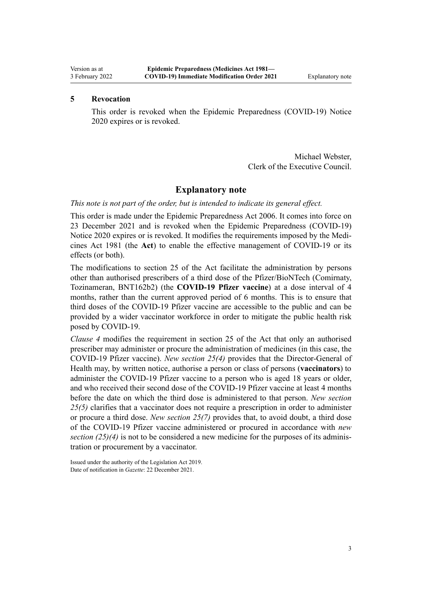## <span id="page-2-0"></span>**5 Revocation**

This order is revoked when the [Epidemic Preparedness \(COVID-19\) Notice](https://gazette.govt.nz/notice/id/2020-go1368) [2020](https://gazette.govt.nz/notice/id/2020-go1368) expires or is revoked.

> Michael Webster, Clerk of the Executive Council.

## **Explanatory note**

### *This note is not part of the order, but is intended to indicate its general effect.*

This order is made under the [Epidemic Preparedness Act 2006.](http://legislation.govt.nz/pdflink.aspx?id=DLM404458) It comes into force on 23 December 2021 and is revoked when the [Epidemic Preparedness \(COVID-19\)](https://gazette.govt.nz/notice/id/2020-go1368) [Notice 2020](https://gazette.govt.nz/notice/id/2020-go1368) expires or is revoked. It modifies the requirements imposed by the [Medi‐](http://legislation.govt.nz/pdflink.aspx?id=DLM53789) [cines Act 1981](http://legislation.govt.nz/pdflink.aspx?id=DLM53789) (the **Act**) to enable the effective management of COVID-19 or its effects (or both).

The modifications to [section 25](http://legislation.govt.nz/pdflink.aspx?id=DLM55417) of the Act facilitate the administration by persons other than authorised prescribers of a third dose of the Pfizer/BioNTech (Comirnaty, Tozinameran, BNT162b2) (the **COVID-19 Pfizer vaccine**) at a dose interval of 4 months, rather than the current approved period of 6 months. This is to ensure that third doses of the COVID-19 Pfizer vaccine are accessible to the public and can be provided by a wider vaccinator workforce in order to mitigate the public health risk posed by COVID-19.

*[Clause 4](#page-1-0)* modifies the requirement in [section 25](http://legislation.govt.nz/pdflink.aspx?id=DLM55417) of the Act that only an authorised prescriber may administer or procure the administration of medicines (in this case, the COVID-19 Pfizer vaccine). *New [section 25\(4\)](#page-1-0)* provides that the Director-General of Health may, by written notice, authorise a person or class of persons (**vaccinators**) to administer the COVID-19 Pfizer vaccine to a person who is aged 18 years or older, and who received their second dose of the COVID-19 Pfizer vaccine at least 4 months before the date on which the third dose is administered to that person. *New [section](#page-1-0) [25\(5\)](#page-1-0)* clarifies that a vaccinator does not require a prescription in order to administer or procure a third dose. *New [section 25\(7\)](#page-1-0)* provides that, to avoid doubt, a third dose of the COVID-19 Pfizer vaccine administered or procured in accordance with *new section*  $(25)(4)$  is not to be considered a new medicine for the purposes of its administration or procurement by a vaccinator.

Issued under the authority of the [Legislation Act 2019](http://legislation.govt.nz/pdflink.aspx?id=DLM7298104). Date of notification in *Gazette*: 22 December 2021.